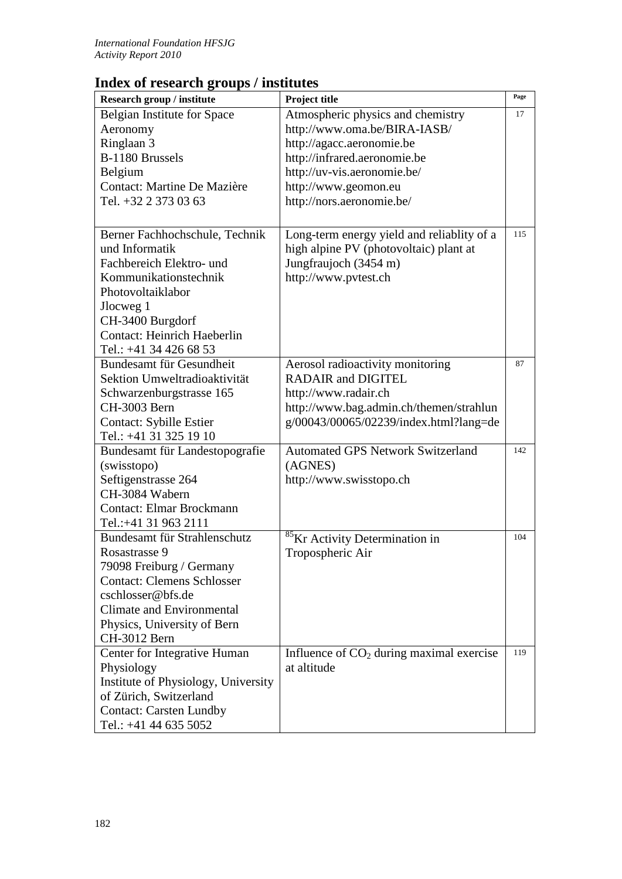## **Index of research groups / institutes**

| Research group / institute                                                                                                                                                                                            | Project title                                             | Page |
|-----------------------------------------------------------------------------------------------------------------------------------------------------------------------------------------------------------------------|-----------------------------------------------------------|------|
| <b>Belgian Institute for Space</b>                                                                                                                                                                                    | Atmospheric physics and chemistry                         | 17   |
| Aeronomy                                                                                                                                                                                                              | http://www.oma.be/BIRA-IASB/                              |      |
| Ringlaan 3                                                                                                                                                                                                            | http://agacc.aeronomie.be                                 |      |
| B-1180 Brussels                                                                                                                                                                                                       | http://infrared.aeronomie.be                              |      |
| Belgium                                                                                                                                                                                                               | http://uv-vis.aeronomie.be/                               |      |
| Contact: Martine De Mazière                                                                                                                                                                                           | http://www.geomon.eu                                      |      |
| Tel. +32 2 373 03 63                                                                                                                                                                                                  | http://nors.aeronomie.be/                                 |      |
|                                                                                                                                                                                                                       |                                                           |      |
| Berner Fachhochschule, Technik                                                                                                                                                                                        | Long-term energy yield and reliablity of a                | 115  |
| und Informatik                                                                                                                                                                                                        | high alpine PV (photovoltaic) plant at                    |      |
| Fachbereich Elektro- und                                                                                                                                                                                              | Jungfraujoch (3454 m)                                     |      |
| Kommunikationstechnik                                                                                                                                                                                                 | http://www.pvtest.ch                                      |      |
| Photovoltaiklabor                                                                                                                                                                                                     |                                                           |      |
| Jlocweg 1                                                                                                                                                                                                             |                                                           |      |
| CH-3400 Burgdorf                                                                                                                                                                                                      |                                                           |      |
| <b>Contact: Heinrich Haeberlin</b>                                                                                                                                                                                    |                                                           |      |
| Tel.: +41 34 426 68 53                                                                                                                                                                                                |                                                           |      |
| Bundesamt für Gesundheit                                                                                                                                                                                              | Aerosol radioactivity monitoring                          | 87   |
| Sektion Umweltradioaktivität                                                                                                                                                                                          | <b>RADAIR and DIGITEL</b>                                 |      |
| Schwarzenburgstrasse 165                                                                                                                                                                                              | http://www.radair.ch                                      |      |
| CH-3003 Bern                                                                                                                                                                                                          | http://www.bag.admin.ch/themen/strahlun                   |      |
| <b>Contact: Sybille Estier</b>                                                                                                                                                                                        | g/00043/00065/02239/index.html?lang=de                    |      |
| Tel.: +41 31 325 19 10                                                                                                                                                                                                |                                                           |      |
| Bundesamt für Landestopografie                                                                                                                                                                                        | <b>Automated GPS Network Switzerland</b>                  | 142  |
| (swisstopo)                                                                                                                                                                                                           | (AGNES)                                                   |      |
| Seftigenstrasse 264                                                                                                                                                                                                   | http://www.swisstopo.ch                                   |      |
| CH-3084 Wabern                                                                                                                                                                                                        |                                                           |      |
| <b>Contact: Elmar Brockmann</b>                                                                                                                                                                                       |                                                           |      |
| Tel.:+41 31 963 2111                                                                                                                                                                                                  |                                                           |      |
| Bundesamt für Strahlenschutz                                                                                                                                                                                          | <sup>85</sup> Kr Activity Determination in                | 104  |
| Rosastrasse 9                                                                                                                                                                                                         | Tropospheric Air                                          |      |
| 79098 Freiburg / Germany                                                                                                                                                                                              |                                                           |      |
| <b>Contact: Clemens Schlosser</b>                                                                                                                                                                                     |                                                           |      |
| cschlosser@bfs.de<br>Climate and Environmental                                                                                                                                                                        |                                                           |      |
|                                                                                                                                                                                                                       |                                                           |      |
|                                                                                                                                                                                                                       |                                                           |      |
|                                                                                                                                                                                                                       |                                                           |      |
|                                                                                                                                                                                                                       |                                                           |      |
|                                                                                                                                                                                                                       |                                                           |      |
|                                                                                                                                                                                                                       |                                                           |      |
|                                                                                                                                                                                                                       |                                                           |      |
|                                                                                                                                                                                                                       |                                                           |      |
| Physics, University of Bern<br>CH-3012 Bern<br>Center for Integrative Human<br>Physiology<br>Institute of Physiology, University<br>of Zürich, Switzerland<br><b>Contact: Carsten Lundby</b><br>Tel.: +41 44 635 5052 | Influence of $CO2$ during maximal exercise<br>at altitude | 119  |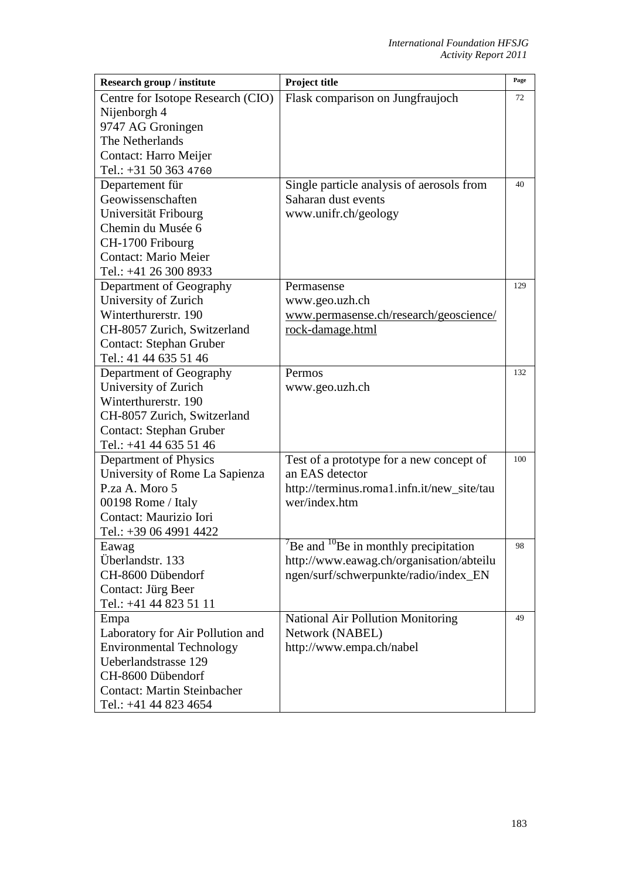| Research group / institute         | Project title                                            | Page |
|------------------------------------|----------------------------------------------------------|------|
| Centre for Isotope Research (CIO)  | Flask comparison on Jungfraujoch                         | 72   |
| Nijenborgh 4                       |                                                          |      |
| 9747 AG Groningen                  |                                                          |      |
| The Netherlands                    |                                                          |      |
| Contact: Harro Meijer              |                                                          |      |
| Tel.: +31 50 363 4760              |                                                          |      |
| Departement für                    | Single particle analysis of aerosols from                | 40   |
| Geowissenschaften                  | Saharan dust events                                      |      |
| Universität Fribourg               | www.unifr.ch/geology                                     |      |
| Chemin du Musée 6                  |                                                          |      |
| CH-1700 Fribourg                   |                                                          |      |
| <b>Contact: Mario Meier</b>        |                                                          |      |
| Tel.: +41 26 300 8933              |                                                          |      |
| Department of Geography            | Permasense                                               | 129  |
| University of Zurich               | www.geo.uzh.ch                                           |      |
| Winterthurerstr. 190               | www.permasense.ch/research/geoscience/                   |      |
| CH-8057 Zurich, Switzerland        | rock-damage.html                                         |      |
| <b>Contact: Stephan Gruber</b>     |                                                          |      |
| Tel.: 41 44 635 51 46              |                                                          |      |
| Department of Geography            | Permos                                                   | 132  |
| University of Zurich               | www.geo.uzh.ch                                           |      |
| Winterthurerstr. 190               |                                                          |      |
| CH-8057 Zurich, Switzerland        |                                                          |      |
| <b>Contact: Stephan Gruber</b>     |                                                          |      |
| Tel.: +41 44 635 51 46             |                                                          |      |
| Department of Physics              | Test of a prototype for a new concept of                 | 100  |
| University of Rome La Sapienza     | an EAS detector                                          |      |
| P.za A. Moro 5                     | http://terminus.roma1.infn.it/new_site/tau               |      |
| 00198 Rome / Italy                 | wer/index.htm                                            |      |
| Contact: Maurizio Iori             |                                                          |      |
| Tel.: +39 06 4991 4422             |                                                          |      |
| Eawag                              | $B$ Be and $B$ <sup>10</sup> Be in monthly precipitation | 98   |
| Überlandstr. 133                   | http://www.eawag.ch/organisation/abteilu                 |      |
| CH-8600 Dübendorf                  | ngen/surf/schwerpunkte/radio/index_EN                    |      |
| Contact: Jürg Beer                 |                                                          |      |
| Tel.: +41 44 823 51 11             |                                                          |      |
| Empa                               | <b>National Air Pollution Monitoring</b>                 | 49   |
| Laboratory for Air Pollution and   | Network (NABEL)                                          |      |
| <b>Environmental Technology</b>    | http://www.empa.ch/nabel                                 |      |
| Ueberlandstrasse 129               |                                                          |      |
| CH-8600 Dübendorf                  |                                                          |      |
| <b>Contact: Martin Steinbacher</b> |                                                          |      |
| Tel.: +41 44 823 4654              |                                                          |      |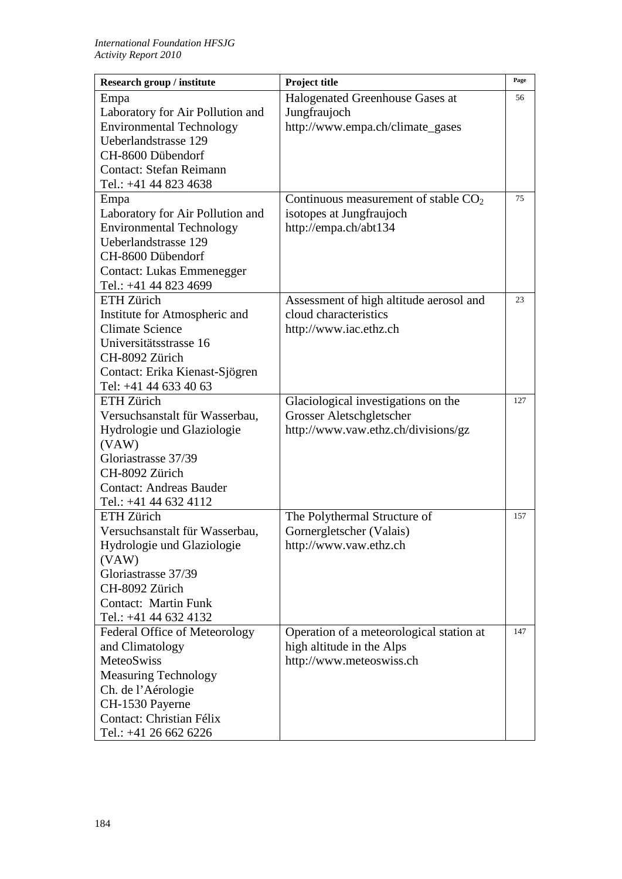| Research group / institute       | Project title                            | Page |
|----------------------------------|------------------------------------------|------|
| Empa                             | Halogenated Greenhouse Gases at          | 56   |
| Laboratory for Air Pollution and | Jungfraujoch                             |      |
| <b>Environmental Technology</b>  | http://www.empa.ch/climate_gases         |      |
| Ueberlandstrasse 129             |                                          |      |
| CH-8600 Dübendorf                |                                          |      |
| <b>Contact: Stefan Reimann</b>   |                                          |      |
| Tel.: +41 44 823 4638            |                                          |      |
| Empa                             | Continuous measurement of stable $CO2$   | 75   |
| Laboratory for Air Pollution and | isotopes at Jungfraujoch                 |      |
| <b>Environmental Technology</b>  | http://empa.ch/abt134                    |      |
| Ueberlandstrasse 129             |                                          |      |
| CH-8600 Dübendorf                |                                          |      |
| <b>Contact: Lukas Emmenegger</b> |                                          |      |
| Tel.: +41 44 823 4699            |                                          |      |
| ETH Zürich                       | Assessment of high altitude aerosol and  | 23   |
| Institute for Atmospheric and    | cloud characteristics                    |      |
| <b>Climate Science</b>           | http://www.iac.ethz.ch                   |      |
| Universitätsstrasse 16           |                                          |      |
| CH-8092 Zürich                   |                                          |      |
| Contact: Erika Kienast-Sjögren   |                                          |      |
| Tel: +41 44 633 40 63            |                                          |      |
| <b>ETH Zürich</b>                | Glaciological investigations on the      | 127  |
| Versuchsanstalt für Wasserbau,   | Grosser Aletschgletscher                 |      |
| Hydrologie und Glaziologie       | http://www.vaw.ethz.ch/divisions/gz      |      |
| (VAW)                            |                                          |      |
| Gloriastrasse 37/39              |                                          |      |
| CH-8092 Zürich                   |                                          |      |
| <b>Contact: Andreas Bauder</b>   |                                          |      |
| Tel.: +41 44 632 4112            |                                          |      |
| <b>ETH</b> Zürich                | The Polythermal Structure of             | 157  |
| Versuchsanstalt für Wasserbau,   | Gornergletscher (Valais)                 |      |
| Hydrologie und Glaziologie       | http://www.vaw.ethz.ch                   |      |
| (VAW)                            |                                          |      |
| Gloriastrasse 37/39              |                                          |      |
| CH-8092 Zürich                   |                                          |      |
| <b>Contact: Martin Funk</b>      |                                          |      |
| Tel.: +41 44 632 4132            |                                          |      |
| Federal Office of Meteorology    | Operation of a meteorological station at | 147  |
| and Climatology                  | high altitude in the Alps                |      |
| <b>MeteoSwiss</b>                | http://www.meteoswiss.ch                 |      |
| <b>Measuring Technology</b>      |                                          |      |
| Ch. de l'Aérologie               |                                          |      |
| CH-1530 Payerne                  |                                          |      |
| Contact: Christian Félix         |                                          |      |
| Tel.: +41 26 662 6226            |                                          |      |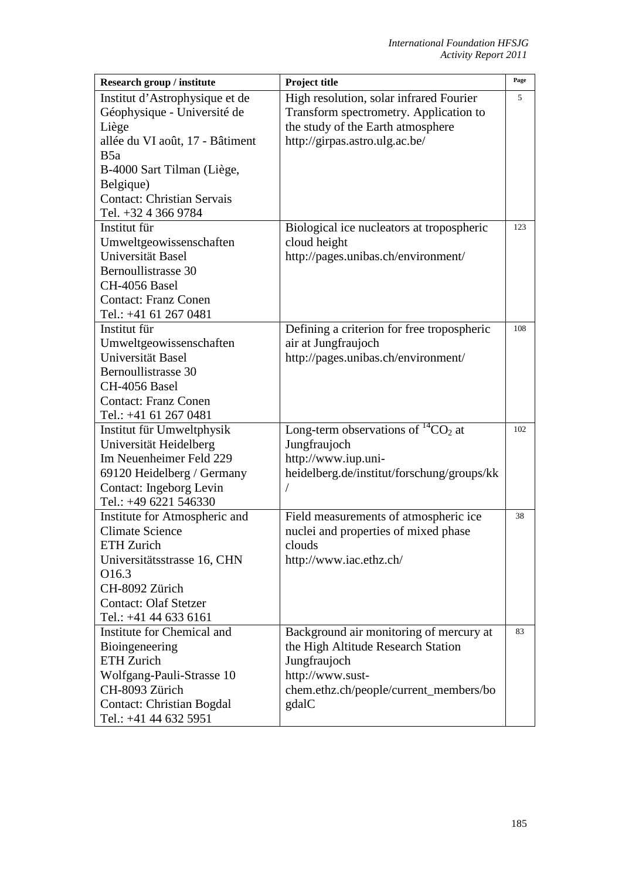| Research group / institute        | Project title                              | Page |
|-----------------------------------|--------------------------------------------|------|
| Institut d'Astrophysique et de    | High resolution, solar infrared Fourier    | 5    |
| Géophysique - Université de       | Transform spectrometry. Application to     |      |
| Liège                             | the study of the Earth atmosphere          |      |
| allée du VI août, 17 - Bâtiment   | http://girpas.astro.ulg.ac.be/             |      |
| B5a                               |                                            |      |
| B-4000 Sart Tilman (Liège,        |                                            |      |
| Belgique)                         |                                            |      |
| <b>Contact: Christian Servais</b> |                                            |      |
| Tel. +32 4 366 9784               |                                            |      |
| Institut für                      | Biological ice nucleators at tropospheric  | 123  |
| Umweltgeowissenschaften           | cloud height                               |      |
| Universität Basel                 | http://pages.unibas.ch/environment/        |      |
| Bernoullistrasse 30               |                                            |      |
| CH-4056 Basel                     |                                            |      |
| <b>Contact: Franz Conen</b>       |                                            |      |
| Tel.: +41 61 267 0481             |                                            |      |
| Institut für                      | Defining a criterion for free tropospheric | 108  |
| Umweltgeowissenschaften           | air at Jungfraujoch                        |      |
| Universität Basel                 | http://pages.unibas.ch/environment/        |      |
| Bernoullistrasse 30               |                                            |      |
| CH-4056 Basel                     |                                            |      |
| <b>Contact: Franz Conen</b>       |                                            |      |
| Tel.: +41 61 267 0481             |                                            |      |
| Institut für Umweltphysik         | Long-term observations of ${}^{14}CO_2$ at | 102  |
| Universität Heidelberg            | Jungfraujoch                               |      |
| Im Neuenheimer Feld 229           | http://www.iup.uni-                        |      |
| 69120 Heidelberg / Germany        | heidelberg.de/institut/forschung/groups/kk |      |
| Contact: Ingeborg Levin           |                                            |      |
| Tel.: +49 6221 546330             |                                            |      |
| Institute for Atmospheric and     | Field measurements of atmospheric ice      | 38   |
| <b>Climate Science</b>            | nuclei and properties of mixed phase       |      |
| ETH Zurich                        | clouds                                     |      |
| Universitätsstrasse 16, CHN       | http://www.iac.ethz.ch/                    |      |
| O16.3                             |                                            |      |
| CH-8092 Zürich                    |                                            |      |
| <b>Contact: Olaf Stetzer</b>      |                                            |      |
| Tel.: +41 44 633 6161             |                                            |      |
| Institute for Chemical and        | Background air monitoring of mercury at    | 83   |
| Bioingeneering                    | the High Altitude Research Station         |      |
| <b>ETH</b> Zurich                 | Jungfraujoch                               |      |
| Wolfgang-Pauli-Strasse 10         | http://www.sust-                           |      |
| CH-8093 Zürich                    | chem.ethz.ch/people/current_members/bo     |      |
| <b>Contact: Christian Bogdal</b>  | gdalC                                      |      |
| Tel.: +41 44 632 5951             |                                            |      |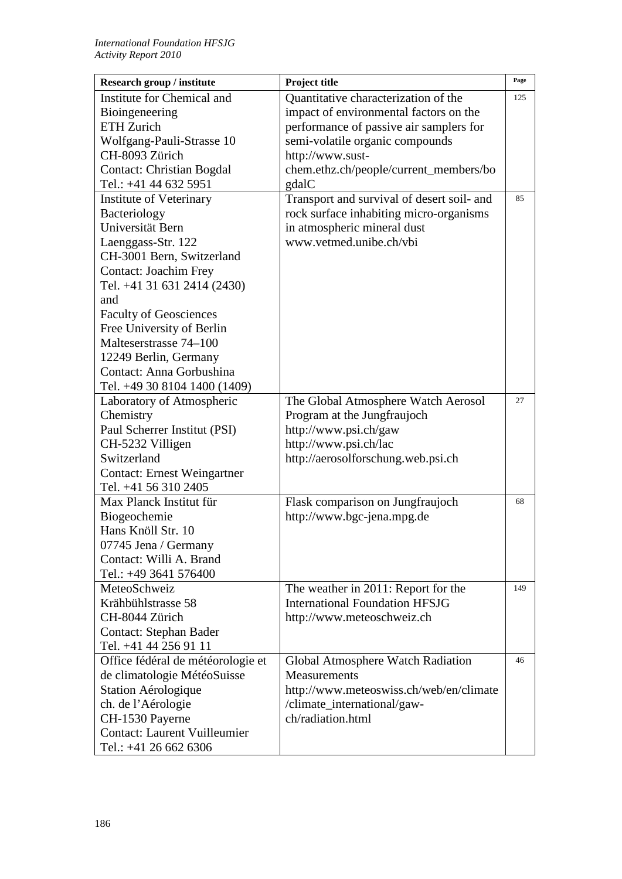| Research group / institute          | Project title                              | Page |
|-------------------------------------|--------------------------------------------|------|
| Institute for Chemical and          | Quantitative characterization of the       | 125  |
| Bioingeneering                      | impact of environmental factors on the     |      |
| <b>ETH Zurich</b>                   | performance of passive air samplers for    |      |
| Wolfgang-Pauli-Strasse 10           | semi-volatile organic compounds            |      |
| CH-8093 Zürich                      | http://www.sust-                           |      |
| <b>Contact: Christian Bogdal</b>    | chem.ethz.ch/people/current_members/bo     |      |
| Tel.: +41 44 632 5951               | gdalC                                      |      |
| <b>Institute of Veterinary</b>      | Transport and survival of desert soil- and | 85   |
| Bacteriology                        | rock surface inhabiting micro-organisms    |      |
| Universität Bern                    | in atmospheric mineral dust                |      |
| Laenggass-Str. 122                  | www.vetmed.unibe.ch/vbi                    |      |
| CH-3001 Bern, Switzerland           |                                            |      |
| <b>Contact: Joachim Frey</b>        |                                            |      |
| Tel. +41 31 631 2414 (2430)         |                                            |      |
| and                                 |                                            |      |
| <b>Faculty of Geosciences</b>       |                                            |      |
| Free University of Berlin           |                                            |      |
| Malteserstrasse 74-100              |                                            |      |
| 12249 Berlin, Germany               |                                            |      |
| Contact: Anna Gorbushina            |                                            |      |
| Tel. +49 30 8104 1400 (1409)        |                                            |      |
| Laboratory of Atmospheric           | The Global Atmosphere Watch Aerosol        | 27   |
| Chemistry                           | Program at the Jungfraujoch                |      |
| Paul Scherrer Institut (PSI)        | http://www.psi.ch/gaw                      |      |
| CH-5232 Villigen                    | http://www.psi.ch/lac                      |      |
| Switzerland                         | http://aerosolforschung.web.psi.ch         |      |
| <b>Contact: Ernest Weingartner</b>  |                                            |      |
| Tel. +41 56 310 2405                |                                            |      |
| Max Planck Institut für             | Flask comparison on Jungfraujoch           | 68   |
| Biogeochemie                        | http://www.bgc-jena.mpg.de                 |      |
| Hans Knöll Str. 10                  |                                            |      |
| 07745 Jena / Germany                |                                            |      |
| Contact: Willi A. Brand             |                                            |      |
| Tel.: +49 3641 576400               |                                            |      |
| MeteoSchweiz                        | The weather in 2011: Report for the        | 149  |
| Krähbühlstrasse 58                  | <b>International Foundation HFSJG</b>      |      |
| CH-8044 Zürich                      | http://www.meteoschweiz.ch                 |      |
| <b>Contact: Stephan Bader</b>       |                                            |      |
| Tel. +41 44 256 91 11               |                                            |      |
| Office fédéral de météorologie et   | Global Atmosphere Watch Radiation          | 46   |
| de climatologie MétéoSuisse         | <b>Measurements</b>                        |      |
| Station Aérologique                 | http://www.meteoswiss.ch/web/en/climate    |      |
| ch. de l'Aérologie                  | /climate_international/gaw-                |      |
| CH-1530 Payerne                     | ch/radiation.html                          |      |
| <b>Contact: Laurent Vuilleumier</b> |                                            |      |
| Tel.: +41 26 662 6306               |                                            |      |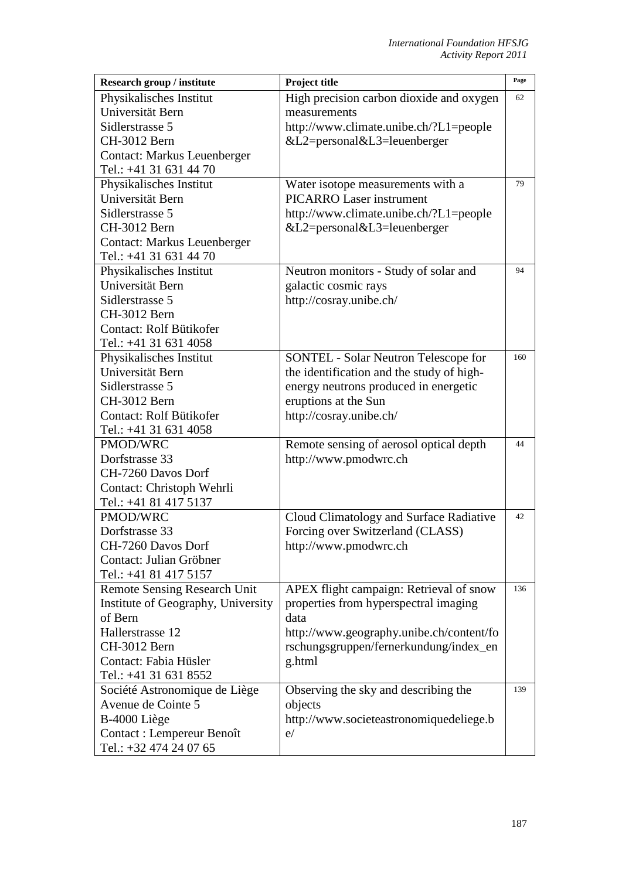| <b>Research group / institute</b>   | Project title                               | Page |
|-------------------------------------|---------------------------------------------|------|
| Physikalisches Institut             | High precision carbon dioxide and oxygen    | 62   |
| Universität Bern                    | measurements                                |      |
| Sidlerstrasse 5                     | http://www.climate.unibe.ch/?L1=people      |      |
| CH-3012 Bern                        | &L2=personal&L3=leuenberger                 |      |
| <b>Contact: Markus Leuenberger</b>  |                                             |      |
| Tel.: +41 31 631 44 70              |                                             |      |
| Physikalisches Institut             | Water isotope measurements with a           | 79   |
| Universität Bern                    | <b>PICARRO Laser instrument</b>             |      |
| Sidlerstrasse 5                     | http://www.climate.unibe.ch/?L1=people      |      |
| CH-3012 Bern                        | $&L2 = personal \&L3 = leuenberger$         |      |
| <b>Contact: Markus Leuenberger</b>  |                                             |      |
| Tel.: +41 31 631 44 70              |                                             |      |
| Physikalisches Institut             | Neutron monitors - Study of solar and       | 94   |
| Universität Bern                    | galactic cosmic rays                        |      |
| Sidlerstrasse 5                     | http://cosray.unibe.ch/                     |      |
| CH-3012 Bern                        |                                             |      |
| Contact: Rolf Bütikofer             |                                             |      |
| Tel.: +41 31 631 4058               |                                             |      |
| Physikalisches Institut             | <b>SONTEL - Solar Neutron Telescope for</b> | 160  |
| Universität Bern                    | the identification and the study of high-   |      |
| Sidlerstrasse 5                     | energy neutrons produced in energetic       |      |
| CH-3012 Bern                        | eruptions at the Sun                        |      |
| Contact: Rolf Bütikofer             | http://cosray.unibe.ch/                     |      |
| Tel.: +41 31 631 4058               |                                             |      |
| <b>PMOD/WRC</b>                     | Remote sensing of aerosol optical depth     | 44   |
| Dorfstrasse 33                      | http://www.pmodwrc.ch                       |      |
| CH-7260 Davos Dorf                  |                                             |      |
| Contact: Christoph Wehrli           |                                             |      |
| Tel.: +41 81 417 5137               |                                             |      |
| PMOD/WRC                            | Cloud Climatology and Surface Radiative     | 42   |
| Dorfstrasse 33                      | Forcing over Switzerland (CLASS)            |      |
| CH-7260 Davos Dorf                  | http://www.pmodwrc.ch                       |      |
| Contact: Julian Gröbner             |                                             |      |
| Tel.: +41 81 417 5157               |                                             |      |
| <b>Remote Sensing Research Unit</b> | APEX flight campaign: Retrieval of snow     | 136  |
| Institute of Geography, University  | properties from hyperspectral imaging       |      |
| of Bern                             | data                                        |      |
| Hallerstrasse 12                    | http://www.geography.unibe.ch/content/fo    |      |
| CH-3012 Bern                        | rschungsgruppen/fernerkundung/index_en      |      |
| Contact: Fabia Hüsler               | g.html                                      |      |
| Tel.: +41 31 631 8552               |                                             |      |
| Société Astronomique de Liège       | Observing the sky and describing the        | 139  |
| Avenue de Cointe 5                  | objects                                     |      |
| B-4000 Liège                        | http://www.societeastronomiquedeliege.b     |      |
| Contact : Lempereur Benoît          | e/                                          |      |
| Tel.: +32 474 24 07 65              |                                             |      |